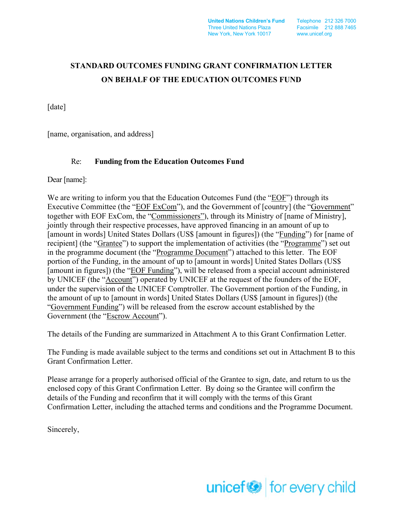**United Nations Children's Fund** Telephone 212 326 7000 Three United Nations Plaza Facsimile 212 888 7465 New York, New York 10017 www.unicef.org

# **STANDARD OUTCOMES FUNDING GRANT CONFIRMATION LETTER ON BEHALF OF THE EDUCATION OUTCOMES FUND**

[date]

[name, organisation, and address]

# Re: **Funding from the Education Outcomes Fund**

Dear [name]:

We are writing to inform you that the Education Outcomes Fund (the "EOF") through its Executive Committee (the "EOF ExCom"), and the Government of [country] (the "Government" together with EOF ExCom, the "Commissioners"), through its Ministry of [name of Ministry], jointly through their respective processes, have approved financing in an amount of up to [amount in words] United States Dollars (US\$ [amount in figures]) (the "Funding") for [name of recipient] (the "Grantee") to support the implementation of activities (the "Programme") set out in the programme document (the "Programme Document") attached to this letter. The EOF portion of the Funding, in the amount of up to [amount in words] United States Dollars (US\$ [amount in figures]) (the "EOF Funding"), will be released from a special account administered by UNICEF (the "Account") operated by UNICEF at the request of the founders of the EOF, under the supervision of the UNICEF Comptroller. The Government portion of the Funding, in the amount of up to [amount in words] United States Dollars (US\$ [amount in figures]) (the "Government Funding") will be released from the escrow account established by the Government (the "Escrow Account").

The details of the Funding are summarized in Attachment A to this Grant Confirmation Letter.

The Funding is made available subject to the terms and conditions set out in Attachment B to this Grant Confirmation Letter.

Please arrange for a properly authorised official of the Grantee to sign, date, and return to us the enclosed copy of this Grant Confirmation Letter. By doing so the Grantee will confirm the details of the Funding and reconfirm that it will comply with the terms of this Grant Confirmation Letter, including the attached terms and conditions and the Programme Document.

Sincerely,

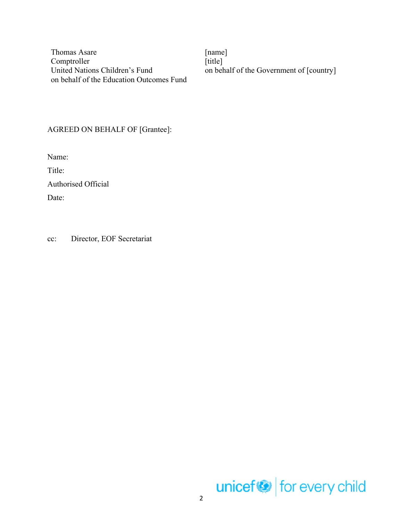Thomas Asare [name] Comptroller United Nations Children's Fund on behalf of the Education Outcomes Fund

[title] on behalf of the Government of [country]

# AGREED ON BEHALF OF [Grantee]:

Name:

Title:

Authorised Official

Date:

cc: Director, EOF Secretariat

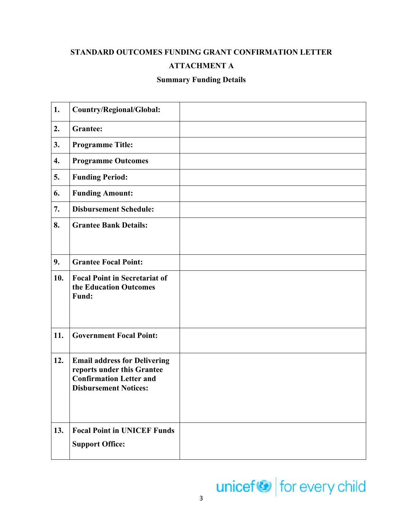# **STANDARD OUTCOMES FUNDING GRANT CONFIRMATION LETTER**

# **ATTACHMENT A**

# **Summary Funding Details**

| 1.                 | Country/Regional/Global:                                          |  |
|--------------------|-------------------------------------------------------------------|--|
| 2.                 | <b>Grantee:</b>                                                   |  |
| 3.                 | <b>Programme Title:</b>                                           |  |
| $\boldsymbol{4}$ . | <b>Programme Outcomes</b>                                         |  |
| 5.                 | <b>Funding Period:</b>                                            |  |
| 6.                 | <b>Funding Amount:</b>                                            |  |
| 7.                 | <b>Disbursement Schedule:</b>                                     |  |
| 8.                 | <b>Grantee Bank Details:</b>                                      |  |
|                    |                                                                   |  |
| 9.                 | <b>Grantee Focal Point:</b>                                       |  |
| 10.                | <b>Focal Point in Secretariat of</b><br>the Education Outcomes    |  |
|                    | Fund:                                                             |  |
|                    |                                                                   |  |
| 11.                | <b>Government Focal Point:</b>                                    |  |
|                    |                                                                   |  |
| 12.                | <b>Email address for Delivering</b><br>reports under this Grantee |  |
|                    | <b>Confirmation Letter and</b>                                    |  |
|                    | <b>Disbursement Notices:</b>                                      |  |
|                    |                                                                   |  |
| 13.                | <b>Focal Point in UNICEF Funds</b>                                |  |
|                    | <b>Support Office:</b>                                            |  |
|                    |                                                                   |  |

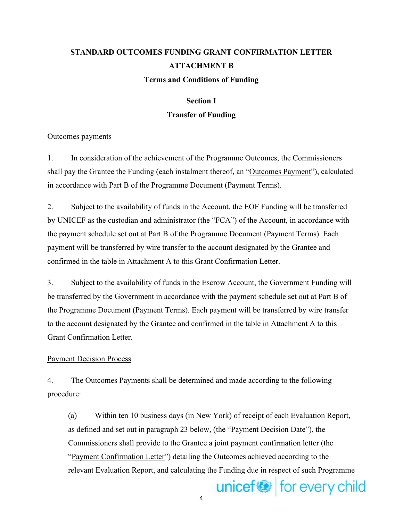# **STANDARD OUTCOMES FUNDING GRANT CONFIRMATION LETTER ATTACHMENT B Terms and Conditions of Funding**

# **Section I Transfer of Funding**

# Outcomes payments

1. In consideration of the achievement of the Programme Outcomes, the Commissioners shall pay the Grantee the Funding (each instalment thereof, an "Outcomes Payment"), calculated in accordance with Part B of the Programme Document (Payment Terms).

2. Subject to the availability of funds in the Account, the EOF Funding will be transferred by UNICEF as the custodian and administrator (the " $FCA$ ") of the Account, in accordance with the payment schedule set out at Part B of the Programme Document (Payment Terms). Each payment will be transferred by wire transfer to the account designated by the Grantee and confirmed in the table in Attachment A to this Grant Confirmation Letter.

3. Subject to the availability of funds in the Escrow Account, the Government Funding will be transferred by the Government in accordance with the payment schedule set out at Part B of the Programme Document (Payment Terms). Each payment will be transferred by wire transfer to the account designated by the Grantee and confirmed in the table in Attachment A to this Grant Confirmation Letter.

# Payment Decision Process

4. The Outcomes Payments shall be determined and made according to the following procedure:

(a) Within ten 10 business days (in New York) of receipt of each Evaluation Report, as defined and set out in paragraph 23 below, (the "Payment Decision Date"), the Commissioners shall provide to the Grantee a joint payment confirmation letter (the "Payment Confirmation Letter") detailing the Outcomes achieved according to the relevant Evaluation Report, and calculating the Funding due in respect of such Programme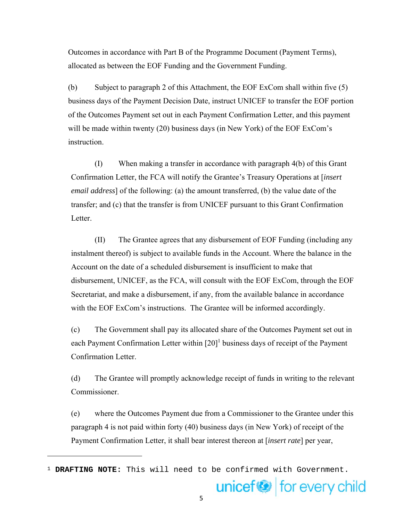Outcomes in accordance with Part B of the Programme Document (Payment Terms), allocated as between the EOF Funding and the Government Funding.

(b) Subject to paragraph 2 of this Attachment, the EOF ExCom shall within five (5) business days of the Payment Decision Date, instruct UNICEF to transfer the EOF portion of the Outcomes Payment set out in each Payment Confirmation Letter, and this payment will be made within twenty (20) business days (in New York) of the EOF ExCom's instruction.

(I) When making a transfer in accordance with paragraph 4(b) of this Grant Confirmation Letter, the FCA will notify the Grantee's Treasury Operations at [*insert email address*] of the following: (a) the amount transferred, (b) the value date of the transfer; and (c) that the transfer is from UNICEF pursuant to this Grant Confirmation Letter.

(II) The Grantee agrees that any disbursement of EOF Funding (including any instalment thereof) is subject to available funds in the Account. Where the balance in the Account on the date of a scheduled disbursement is insufficient to make that disbursement, UNICEF, as the FCA, will consult with the EOF ExCom, through the EOF Secretariat, and make a disbursement, if any, from the available balance in accordance with the EOF ExCom's instructions. The Grantee will be informed accordingly.

(c) The Government shall pay its allocated share of the Outcomes Payment set out in each Payment Confirmation Letter within  $[20]$ <sup>1</sup> business days of receipt of the Payment Confirmation Letter.

(d) The Grantee will promptly acknowledge receipt of funds in writing to the relevant Commissioner.

(e) where the Outcomes Payment due from a Commissioner to the Grantee under this paragraph 4 is not paid within forty (40) business days (in New York) of receipt of the Payment Confirmation Letter, it shall bear interest thereon at [*insert rate*] per year,

<sup>1</sup> **DRAFTING NOTE:** This will need to be confirmed with Government.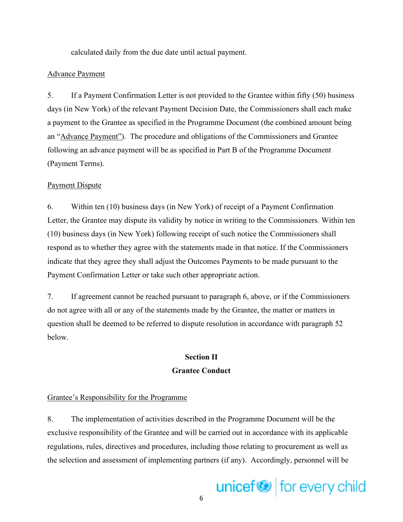calculated daily from the due date until actual payment.

### Advance Payment

5. If a Payment Confirmation Letter is not provided to the Grantee within fifty (50) business days (in New York) of the relevant Payment Decision Date, the Commissioners shall each make a payment to the Grantee as specified in the Programme Document (the combined amount being an "Advance Payment"). The procedure and obligations of the Commissioners and Grantee following an advance payment will be as specified in Part B of the Programme Document (Payment Terms).

#### Payment Dispute

6. Within ten (10) business days (in New York) of receipt of a Payment Confirmation Letter, the Grantee may dispute its validity by notice in writing to the Commissioners. Within ten (10) business days (in New York) following receipt of such notice the Commissioners shall respond as to whether they agree with the statements made in that notice. If the Commissioners indicate that they agree they shall adjust the Outcomes Payments to be made pursuant to the Payment Confirmation Letter or take such other appropriate action.

7. If agreement cannot be reached pursuant to paragraph 6, above, or if the Commissioners do not agree with all or any of the statements made by the Grantee, the matter or matters in question shall be deemed to be referred to dispute resolution in accordance with paragraph 52 below.

# **Section II Grantee Conduct**

#### Grantee's Responsibility for the Programme

8. The implementation of activities described in the Programme Document will be the exclusive responsibility of the Grantee and will be carried out in accordance with its applicable regulations, rules, directives and procedures, including those relating to procurement as well as the selection and assessment of implementing partners (if any). Accordingly, personnel will be

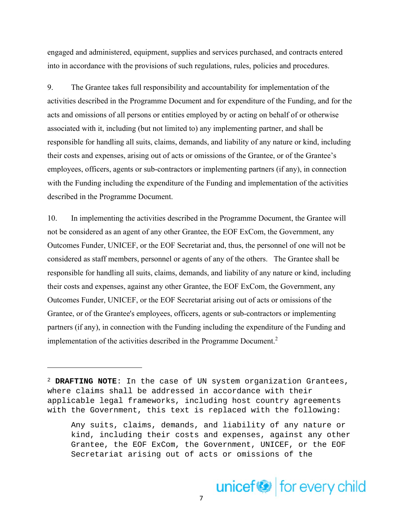engaged and administered, equipment, supplies and services purchased, and contracts entered into in accordance with the provisions of such regulations, rules, policies and procedures.

9. The Grantee takes full responsibility and accountability for implementation of the activities described in the Programme Document and for expenditure of the Funding, and for the acts and omissions of all persons or entities employed by or acting on behalf of or otherwise associated with it, including (but not limited to) any implementing partner, and shall be responsible for handling all suits, claims, demands, and liability of any nature or kind, including their costs and expenses, arising out of acts or omissions of the Grantee, or of the Grantee's employees, officers, agents or sub-contractors or implementing partners (if any), in connection with the Funding including the expenditure of the Funding and implementation of the activities described in the Programme Document.

10. In implementing the activities described in the Programme Document, the Grantee will not be considered as an agent of any other Grantee, the EOF ExCom, the Government, any Outcomes Funder, UNICEF, or the EOF Secretariat and, thus, the personnel of one will not be considered as staff members, personnel or agents of any of the others. The Grantee shall be responsible for handling all suits, claims, demands, and liability of any nature or kind, including their costs and expenses, against any other Grantee, the EOF ExCom, the Government, any Outcomes Funder, UNICEF, or the EOF Secretariat arising out of acts or omissions of the Grantee, or of the Grantee's employees, officers, agents or sub-contractors or implementing partners (if any), in connection with the Funding including the expenditure of the Funding and implementation of the activities described in the Programme Document.<sup>2</sup>

<sup>2</sup> **DRAFTING NOTE**: In the case of UN system organization Grantees, where claims shall be addressed in accordance with their applicable legal frameworks, including host country agreements with the Government, this text is replaced with the following:

Any suits, claims, demands, and liability of any nature or kind, including their costs and expenses, against any other Grantee, the EOF ExCom, the Government, UNICEF, or the EOF Secretariat arising out of acts or omissions of the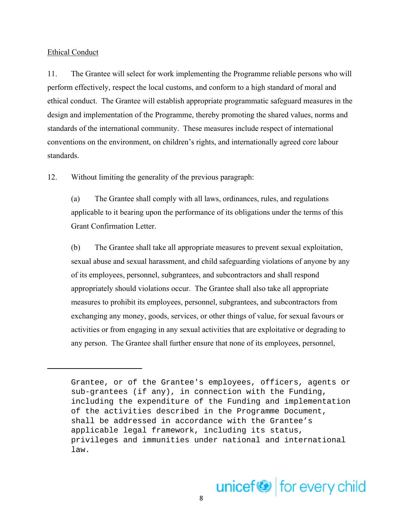#### Ethical Conduct

11. The Grantee will select for work implementing the Programme reliable persons who will perform effectively, respect the local customs, and conform to a high standard of moral and ethical conduct. The Grantee will establish appropriate programmatic safeguard measures in the design and implementation of the Programme, thereby promoting the shared values, norms and standards of the international community. These measures include respect of international conventions on the environment, on children's rights, and internationally agreed core labour standards.

12. Without limiting the generality of the previous paragraph:

(a) The Grantee shall comply with all laws, ordinances, rules, and regulations applicable to it bearing upon the performance of its obligations under the terms of this Grant Confirmation Letter.

(b) The Grantee shall take all appropriate measures to prevent sexual exploitation, sexual abuse and sexual harassment, and child safeguarding violations of anyone by any of its employees, personnel, subgrantees, and subcontractors and shall respond appropriately should violations occur. The Grantee shall also take all appropriate measures to prohibit its employees, personnel, subgrantees, and subcontractors from exchanging any money, goods, services, or other things of value, for sexual favours or activities or from engaging in any sexual activities that are exploitative or degrading to any person. The Grantee shall further ensure that none of its employees, personnel,

Grantee, or of the Grantee's employees, officers, agents or sub-grantees (if any), in connection with the Funding, including the expenditure of the Funding and implementation of the activities described in the Programme Document, shall be addressed in accordance with the Grantee's applicable legal framework, including its status, privileges and immunities under national and international law.

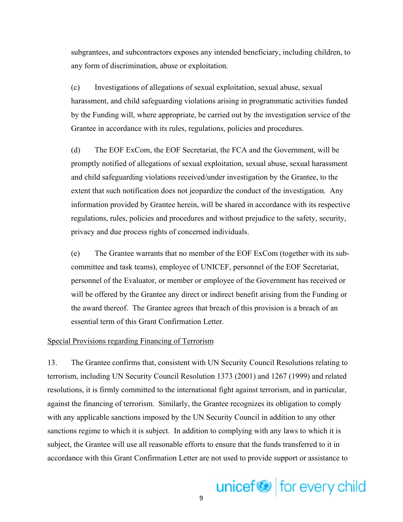subgrantees, and subcontractors exposes any intended beneficiary, including children, to any form of discrimination, abuse or exploitation.

(c) Investigations of allegations of sexual exploitation, sexual abuse, sexual harassment, and child safeguarding violations arising in programmatic activities funded by the Funding will, where appropriate, be carried out by the investigation service of the Grantee in accordance with its rules, regulations, policies and procedures.

(d) The EOF ExCom, the EOF Secretariat, the FCA and the Government, will be promptly notified of allegations of sexual exploitation, sexual abuse, sexual harassment and child safeguarding violations received/under investigation by the Grantee, to the extent that such notification does not jeopardize the conduct of the investigation. Any information provided by Grantee herein, will be shared in accordance with its respective regulations, rules, policies and procedures and without prejudice to the safety, security, privacy and due process rights of concerned individuals.

(e) The Grantee warrants that no member of the EOF ExCom (together with its subcommittee and task teams), employee of UNICEF, personnel of the EOF Secretariat, personnel of the Evaluator, or member or employee of the Government has received or will be offered by the Grantee any direct or indirect benefit arising from the Funding or the award thereof. The Grantee agrees that breach of this provision is a breach of an essential term of this Grant Confirmation Letter.

#### Special Provisions regarding Financing of Terrorism

13. The Grantee confirms that, consistent with UN Security Council Resolutions relating to terrorism, including UN Security Council Resolution 1373 (2001) and 1267 (1999) and related resolutions, it is firmly committed to the international fight against terrorism, and in particular, against the financing of terrorism. Similarly, the Grantee recognizes its obligation to comply with any applicable sanctions imposed by the UN Security Council in addition to any other sanctions regime to which it is subject. In addition to complying with any laws to which it is subject, the Grantee will use all reasonable efforts to ensure that the funds transferred to it in accordance with this Grant Confirmation Letter are not used to provide support or assistance to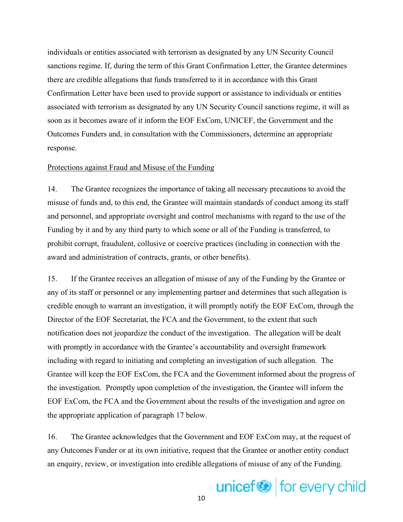individuals or entities associated with terrorism as designated by any UN Security Council sanctions regime. If, during the term of this Grant Confirmation Letter, the Grantee determines there are credible allegations that funds transferred to it in accordance with this Grant Confirmation Letter have been used to provide support or assistance to individuals or entities associated with terrorism as designated by any UN Security Council sanctions regime, it will as soon as it becomes aware of it inform the EOF ExCom, UNICEF, the Government and the Outcomes Funders and, in consultation with the Commissioners, determine an appropriate response.

#### Protections against Fraud and Misuse of the Funding

14. The Grantee recognizes the importance of taking all necessary precautions to avoid the misuse of funds and, to this end, the Grantee will maintain standards of conduct among its staff and personnel, and appropriate oversight and control mechanisms with regard to the use of the Funding by it and by any third party to which some or all of the Funding is transferred, to prohibit corrupt, fraudulent, collusive or coercive practices (including in connection with the award and administration of contracts, grants, or other benefits).

15. If the Grantee receives an allegation of misuse of any of the Funding by the Grantee or any of its staff or personnel or any implementing partner and determines that such allegation is credible enough to warrant an investigation, it will promptly notify the EOF ExCom, through the Director of the EOF Secretariat, the FCA and the Government, to the extent that such notification does not jeopardize the conduct of the investigation. The allegation will be dealt with promptly in accordance with the Grantee's accountability and oversight framework including with regard to initiating and completing an investigation of such allegation. The Grantee will keep the EOF ExCom, the FCA and the Government informed about the progress of the investigation. Promptly upon completion of the investigation, the Grantee will inform the EOF ExCom, the FCA and the Government about the results of the investigation and agree on the appropriate application of paragraph 17 below.

16. The Grantee acknowledges that the Government and EOF ExCom may, at the request of any Outcomes Funder or at its own initiative, request that the Grantee or another entity conduct an enquiry, review, or investigation into credible allegations of misuse of any of the Funding.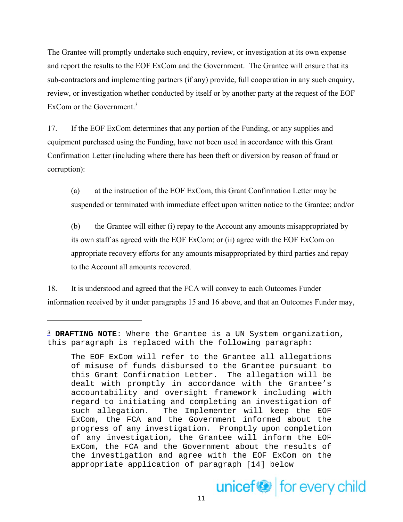The Grantee will promptly undertake such enquiry, review, or investigation at its own expense and report the results to the EOF ExCom and the Government. The Grantee will ensure that its sub-contractors and implementing partners (if any) provide, full cooperation in any such enquiry, review, or investigation whether conducted by itself or by another party at the request of the EOF ExCom or the Government.<sup>3</sup>

17. If the EOF ExCom determines that any portion of the Funding, or any supplies and equipment purchased using the Funding, have not been used in accordance with this Grant Confirmation Letter (including where there has been theft or diversion by reason of fraud or corruption):

(a) at the instruction of the EOF ExCom, this Grant Confirmation Letter may be suspended or terminated with immediate effect upon written notice to the Grantee; and/or

(b) the Grantee will either (i) repay to the Account any amounts misappropriated by its own staff as agreed with the EOF ExCom; or (ii) agree with the EOF ExCom on appropriate recovery efforts for any amounts misappropriated by third parties and repay to the Account all amounts recovered.

18. It is understood and agreed that the FCA will convey to each Outcomes Funder information received by it under paragraphs 15 and 16 above, and that an Outcomes Funder may,

The EOF ExCom will refer to the Grantee all allegations of misuse of funds disbursed to the Grantee pursuant to this Grant Confirmation Letter. The allegation will be dealt with promptly in accordance with the Grantee's accountability and oversight framework including with regard to initiating and completing an investigation of such allegation. The Implementer will keep the EOF ExCom, the FCA and the Government informed about the progress of any investigation. Promptly upon completion of any investigation, the Grantee will inform the EOF ExCom, the FCA and the Government about the results of the investigation and agree with the EOF ExCom on the appropriate application of paragraph [14] below



<sup>3</sup> **DRAFTING NOTE**: Where the Grantee is a UN System organization, this paragraph is replaced with the following paragraph: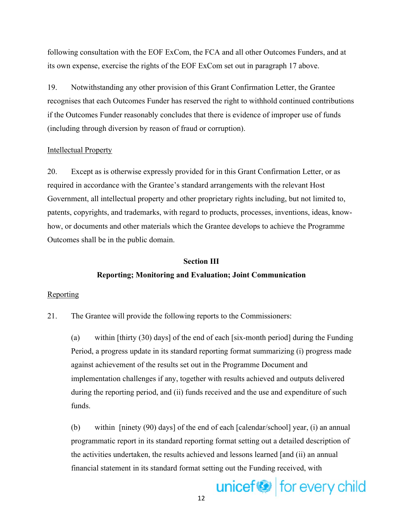following consultation with the EOF ExCom, the FCA and all other Outcomes Funders, and at its own expense, exercise the rights of the EOF ExCom set out in paragraph 17 above.

19. Notwithstanding any other provision of this Grant Confirmation Letter, the Grantee recognises that each Outcomes Funder has reserved the right to withhold continued contributions if the Outcomes Funder reasonably concludes that there is evidence of improper use of funds (including through diversion by reason of fraud or corruption).

### Intellectual Property

20. Except as is otherwise expressly provided for in this Grant Confirmation Letter, or as required in accordance with the Grantee's standard arrangements with the relevant Host Government, all intellectual property and other proprietary rights including, but not limited to, patents, copyrights, and trademarks, with regard to products, processes, inventions, ideas, knowhow, or documents and other materials which the Grantee develops to achieve the Programme Outcomes shall be in the public domain.

# **Section III Reporting; Monitoring and Evaluation; Joint Communication**

### Reporting

21. The Grantee will provide the following reports to the Commissioners:

(a) within [thirty (30) days] of the end of each [six-month period] during the Funding Period, a progress update in its standard reporting format summarizing (i) progress made against achievement of the results set out in the Programme Document and implementation challenges if any, together with results achieved and outputs delivered during the reporting period, and (ii) funds received and the use and expenditure of such funds.

(b) within [ninety (90) days] of the end of each [calendar/school] year, (i) an annual programmatic report in its standard reporting format setting out a detailed description of the activities undertaken, the results achieved and lessons learned [and (ii) an annual financial statement in its standard format setting out the Funding received, with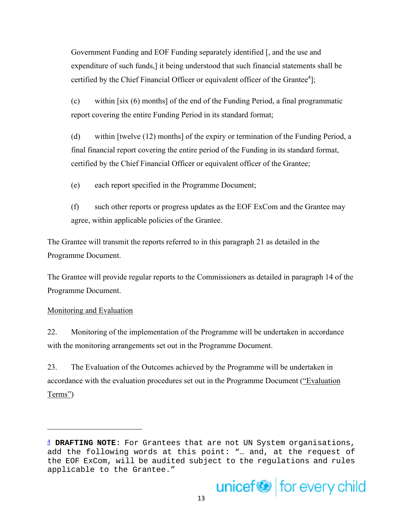Government Funding and EOF Funding separately identified [, and the use and expenditure of such funds,] it being understood that such financial statements shall be certified by the Chief Financial Officer or equivalent officer of the Grantee<sup>4</sup>];

(c) within [six (6) months] of the end of the Funding Period, a final programmatic report covering the entire Funding Period in its standard format;

(d) within [twelve (12) months] of the expiry or termination of the Funding Period, a final financial report covering the entire period of the Funding in its standard format, certified by the Chief Financial Officer or equivalent officer of the Grantee;

- (e) each report specified in the Programme Document;
- (f) such other reports or progress updates as the EOF ExCom and the Grantee may agree, within applicable policies of the Grantee.

The Grantee will transmit the reports referred to in this paragraph 21 as detailed in the Programme Document.

The Grantee will provide regular reports to the Commissioners as detailed in paragraph 14 of the Programme Document.

# Monitoring and Evaluation

22. Monitoring of the implementation of the Programme will be undertaken in accordance with the monitoring arrangements set out in the Programme Document.

23. The Evaluation of the Outcomes achieved by the Programme will be undertaken in accordance with the evaluation procedures set out in the Programme Document ("Evaluation Terms")

<sup>4</sup> **DRAFTING NOTE**: For Grantees that are not UN System organisations, add the following words at this point: "… and, at the request of the EOF ExCom, will be audited subject to the regulations and rules applicable to the Grantee."

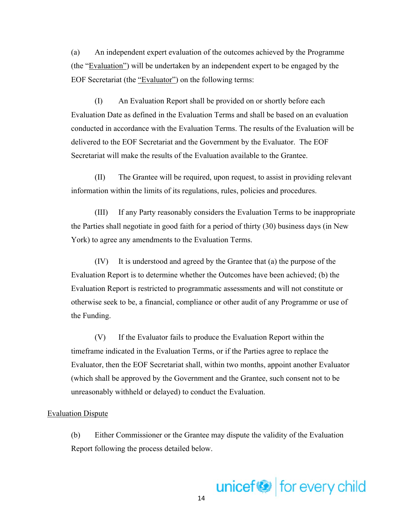(a) An independent expert evaluation of the outcomes achieved by the Programme (the "Evaluation") will be undertaken by an independent expert to be engaged by the EOF Secretariat (the "Evaluator") on the following terms:

(I) An Evaluation Report shall be provided on or shortly before each Evaluation Date as defined in the Evaluation Terms and shall be based on an evaluation conducted in accordance with the Evaluation Terms. The results of the Evaluation will be delivered to the EOF Secretariat and the Government by the Evaluator. The EOF Secretariat will make the results of the Evaluation available to the Grantee.

(II) The Grantee will be required, upon request, to assist in providing relevant information within the limits of its regulations, rules, policies and procedures.

(III) If any Party reasonably considers the Evaluation Terms to be inappropriate the Parties shall negotiate in good faith for a period of thirty (30) business days (in New York) to agree any amendments to the Evaluation Terms.

(IV) It is understood and agreed by the Grantee that (a) the purpose of the Evaluation Report is to determine whether the Outcomes have been achieved; (b) the Evaluation Report is restricted to programmatic assessments and will not constitute or otherwise seek to be, a financial, compliance or other audit of any Programme or use of the Funding.

(V) If the Evaluator fails to produce the Evaluation Report within the timeframe indicated in the Evaluation Terms, or if the Parties agree to replace the Evaluator, then the EOF Secretariat shall, within two months, appoint another Evaluator (which shall be approved by the Government and the Grantee, such consent not to be unreasonably withheld or delayed) to conduct the Evaluation.

#### Evaluation Dispute

(b) Either Commissioner or the Grantee may dispute the validity of the Evaluation Report following the process detailed below.

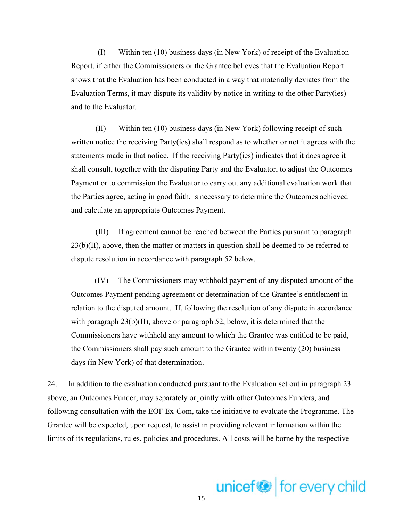(I) Within ten (10) business days (in New York) of receipt of the Evaluation Report, if either the Commissioners or the Grantee believes that the Evaluation Report shows that the Evaluation has been conducted in a way that materially deviates from the Evaluation Terms, it may dispute its validity by notice in writing to the other Party(ies) and to the Evaluator.

(II) Within ten (10) business days (in New York) following receipt of such written notice the receiving Party(ies) shall respond as to whether or not it agrees with the statements made in that notice. If the receiving Party(ies) indicates that it does agree it shall consult, together with the disputing Party and the Evaluator, to adjust the Outcomes Payment or to commission the Evaluator to carry out any additional evaluation work that the Parties agree, acting in good faith, is necessary to determine the Outcomes achieved and calculate an appropriate Outcomes Payment.

(III) If agreement cannot be reached between the Parties pursuant to paragraph 23(b)(II), above, then the matter or matters in question shall be deemed to be referred to dispute resolution in accordance with paragraph 52 below.

(IV) The Commissioners may withhold payment of any disputed amount of the Outcomes Payment pending agreement or determination of the Grantee's entitlement in relation to the disputed amount. If, following the resolution of any dispute in accordance with paragraph  $23(b)(II)$ , above or paragraph 52, below, it is determined that the Commissioners have withheld any amount to which the Grantee was entitled to be paid, the Commissioners shall pay such amount to the Grantee within twenty (20) business days (in New York) of that determination.

24. In addition to the evaluation conducted pursuant to the Evaluation set out in paragraph 23 above, an Outcomes Funder, may separately or jointly with other Outcomes Funders, and following consultation with the EOF Ex-Com, take the initiative to evaluate the Programme. The Grantee will be expected, upon request, to assist in providing relevant information within the limits of its regulations, rules, policies and procedures. All costs will be borne by the respective

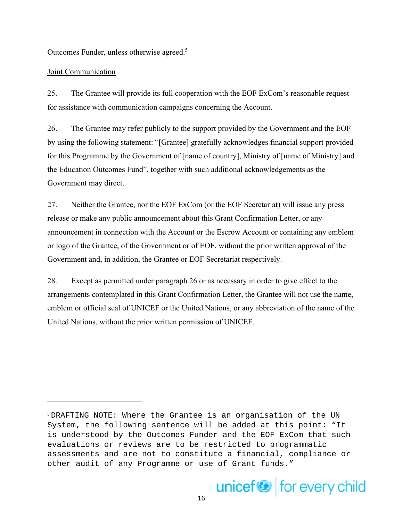Outcomes Funder, unless otherwise agreed.5

# Joint Communication

25. The Grantee will provide its full cooperation with the EOF ExCom's reasonable request for assistance with communication campaigns concerning the Account.

26. The Grantee may refer publicly to the support provided by the Government and the EOF by using the following statement: "[Grantee] gratefully acknowledges financial support provided for this Programme by the Government of [name of country], Ministry of [name of Ministry] and the Education Outcomes Fund", together with such additional acknowledgements as the Government may direct.

27. Neither the Grantee, nor the EOF ExCom (or the EOF Secretariat) will issue any press release or make any public announcement about this Grant Confirmation Letter, or any announcement in connection with the Account or the Escrow Account or containing any emblem or logo of the Grantee, of the Government or of EOF, without the prior written approval of the Government and, in addition, the Grantee or EOF Secretariat respectively.

28. Except as permitted under paragraph 26 or as necessary in order to give effect to the arrangements contemplated in this Grant Confirmation Letter, the Grantee will not use the name, emblem or official seal of UNICEF or the United Nations, or any abbreviation of the name of the United Nations, without the prior written permission of UNICEF.

<sup>5</sup> DRAFTING NOTE: Where the Grantee is an organisation of the UN System, the following sentence will be added at this point: "It is understood by the Outcomes Funder and the EOF ExCom that such evaluations or reviews are to be restricted to programmatic assessments and are not to constitute a financial, compliance or other audit of any Programme or use of Grant funds."

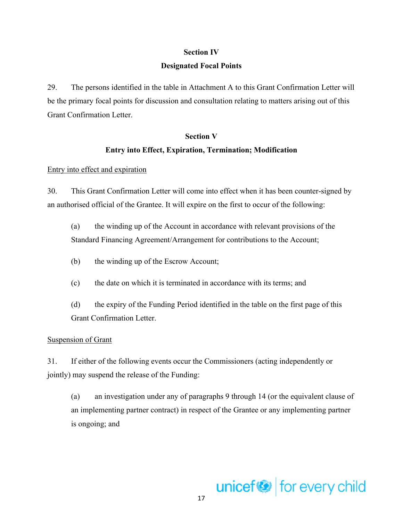### **Section IV**

### **Designated Focal Points**

29. The persons identified in the table in Attachment A to this Grant Confirmation Letter will be the primary focal points for discussion and consultation relating to matters arising out of this Grant Confirmation Letter.

#### **Section V**

# **Entry into Effect, Expiration, Termination; Modification**

### Entry into effect and expiration

30. This Grant Confirmation Letter will come into effect when it has been counter-signed by an authorised official of the Grantee. It will expire on the first to occur of the following:

(a) the winding up of the Account in accordance with relevant provisions of the Standard Financing Agreement/Arrangement for contributions to the Account;

- (b) the winding up of the Escrow Account;
- (c) the date on which it is terminated in accordance with its terms; and
- (d) the expiry of the Funding Period identified in the table on the first page of this Grant Confirmation Letter.

# Suspension of Grant

31. If either of the following events occur the Commissioners (acting independently or jointly) may suspend the release of the Funding:

(a) an investigation under any of paragraphs 9 through 14 (or the equivalent clause of an implementing partner contract) in respect of the Grantee or any implementing partner is ongoing; and

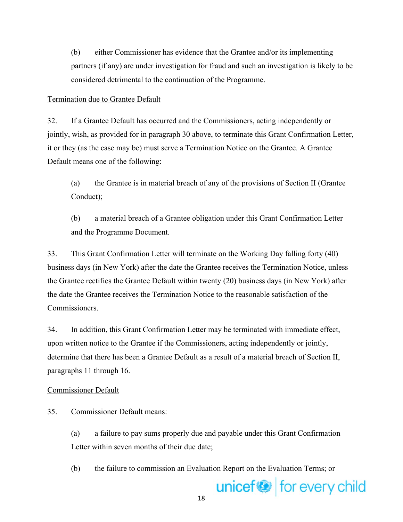(b) either Commissioner has evidence that the Grantee and/or its implementing partners (if any) are under investigation for fraud and such an investigation is likely to be considered detrimental to the continuation of the Programme.

# Termination due to Grantee Default

32. If a Grantee Default has occurred and the Commissioners, acting independently or jointly, wish, as provided for in paragraph 30 above, to terminate this Grant Confirmation Letter, it or they (as the case may be) must serve a Termination Notice on the Grantee. A Grantee Default means one of the following:

(a) the Grantee is in material breach of any of the provisions of Section II (Grantee Conduct);

(b) a material breach of a Grantee obligation under this Grant Confirmation Letter and the Programme Document.

33. This Grant Confirmation Letter will terminate on the Working Day falling forty (40) business days (in New York) after the date the Grantee receives the Termination Notice, unless the Grantee rectifies the Grantee Default within twenty (20) business days (in New York) after the date the Grantee receives the Termination Notice to the reasonable satisfaction of the Commissioners.

34. In addition, this Grant Confirmation Letter may be terminated with immediate effect, upon written notice to the Grantee if the Commissioners, acting independently or jointly, determine that there has been a Grantee Default as a result of a material breach of Section II, paragraphs 11 through 16.

# Commissioner Default

35. Commissioner Default means:

(a) a failure to pay sums properly due and payable under this Grant Confirmation Letter within seven months of their due date;

(b) the failure to commission an Evaluation Report on the Evaluation Terms; or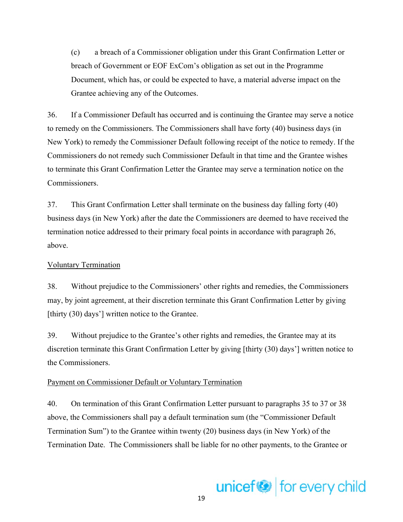(c) a breach of a Commissioner obligation under this Grant Confirmation Letter or breach of Government or EOF ExCom's obligation as set out in the Programme Document, which has, or could be expected to have, a material adverse impact on the Grantee achieving any of the Outcomes.

36. If a Commissioner Default has occurred and is continuing the Grantee may serve a notice to remedy on the Commissioners. The Commissioners shall have forty (40) business days (in New York) to remedy the Commissioner Default following receipt of the notice to remedy. If the Commissioners do not remedy such Commissioner Default in that time and the Grantee wishes to terminate this Grant Confirmation Letter the Grantee may serve a termination notice on the Commissioners.

37. This Grant Confirmation Letter shall terminate on the business day falling forty (40) business days (in New York) after the date the Commissioners are deemed to have received the termination notice addressed to their primary focal points in accordance with paragraph 26, above.

### Voluntary Termination

38. Without prejudice to the Commissioners' other rights and remedies, the Commissioners may, by joint agreement, at their discretion terminate this Grant Confirmation Letter by giving [thirty (30) days'] written notice to the Grantee.

39. Without prejudice to the Grantee's other rights and remedies, the Grantee may at its discretion terminate this Grant Confirmation Letter by giving [thirty (30) days'] written notice to the Commissioners.

### Payment on Commissioner Default or Voluntary Termination

40. On termination of this Grant Confirmation Letter pursuant to paragraphs 35 to 37 or 38 above, the Commissioners shall pay a default termination sum (the "Commissioner Default Termination Sum") to the Grantee within twenty (20) business days (in New York) of the Termination Date. The Commissioners shall be liable for no other payments, to the Grantee or

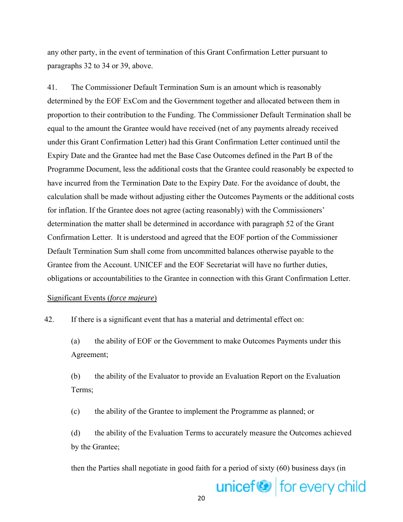any other party, in the event of termination of this Grant Confirmation Letter pursuant to paragraphs 32 to 34 or 39, above.

41. The Commissioner Default Termination Sum is an amount which is reasonably determined by the EOF ExCom and the Government together and allocated between them in proportion to their contribution to the Funding. The Commissioner Default Termination shall be equal to the amount the Grantee would have received (net of any payments already received under this Grant Confirmation Letter) had this Grant Confirmation Letter continued until the Expiry Date and the Grantee had met the Base Case Outcomes defined in the Part B of the Programme Document, less the additional costs that the Grantee could reasonably be expected to have incurred from the Termination Date to the Expiry Date. For the avoidance of doubt, the calculation shall be made without adjusting either the Outcomes Payments or the additional costs for inflation. If the Grantee does not agree (acting reasonably) with the Commissioners' determination the matter shall be determined in accordance with paragraph 52 of the Grant Confirmation Letter. It is understood and agreed that the EOF portion of the Commissioner Default Termination Sum shall come from uncommitted balances otherwise payable to the Grantee from the Account. UNICEF and the EOF Secretariat will have no further duties, obligations or accountabilities to the Grantee in connection with this Grant Confirmation Letter.

#### Significant Events (*force majeure*)

42. If there is a significant event that has a material and detrimental effect on:

(a) the ability of EOF or the Government to make Outcomes Payments under this Agreement;

(b) the ability of the Evaluator to provide an Evaluation Report on the Evaluation Terms;

(c) the ability of the Grantee to implement the Programme as planned; or

(d) the ability of the Evaluation Terms to accurately measure the Outcomes achieved by the Grantee;

then the Parties shall negotiate in good faith for a period of sixty (60) business days (in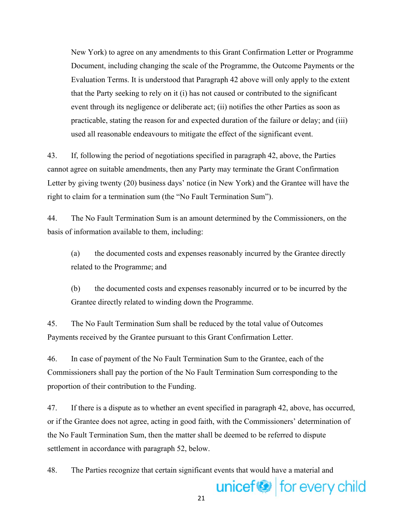New York) to agree on any amendments to this Grant Confirmation Letter or Programme Document, including changing the scale of the Programme, the Outcome Payments or the Evaluation Terms. It is understood that Paragraph 42 above will only apply to the extent that the Party seeking to rely on it (i) has not caused or contributed to the significant event through its negligence or deliberate act; (ii) notifies the other Parties as soon as practicable, stating the reason for and expected duration of the failure or delay; and (iii) used all reasonable endeavours to mitigate the effect of the significant event.

43. If, following the period of negotiations specified in paragraph 42, above, the Parties cannot agree on suitable amendments, then any Party may terminate the Grant Confirmation Letter by giving twenty (20) business days' notice (in New York) and the Grantee will have the right to claim for a termination sum (the "No Fault Termination Sum").

44. The No Fault Termination Sum is an amount determined by the Commissioners, on the basis of information available to them, including:

(a) the documented costs and expenses reasonably incurred by the Grantee directly related to the Programme; and

(b) the documented costs and expenses reasonably incurred or to be incurred by the Grantee directly related to winding down the Programme.

45. The No Fault Termination Sum shall be reduced by the total value of Outcomes Payments received by the Grantee pursuant to this Grant Confirmation Letter.

46. In case of payment of the No Fault Termination Sum to the Grantee, each of the Commissioners shall pay the portion of the No Fault Termination Sum corresponding to the proportion of their contribution to the Funding.

47. If there is a dispute as to whether an event specified in paragraph 42, above, has occurred, or if the Grantee does not agree, acting in good faith, with the Commissioners' determination of the No Fault Termination Sum, then the matter shall be deemed to be referred to dispute settlement in accordance with paragraph 52, below.

48. The Parties recognize that certain significant events that would have a material and

21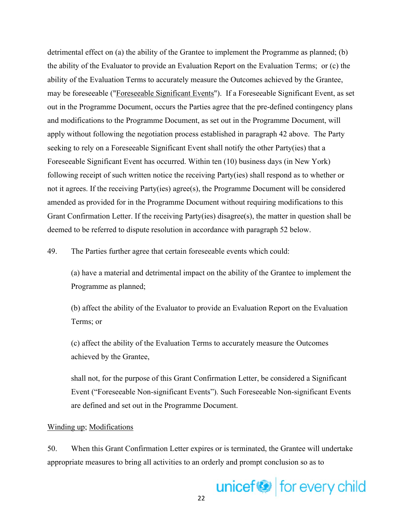detrimental effect on (a) the ability of the Grantee to implement the Programme as planned; (b) the ability of the Evaluator to provide an Evaluation Report on the Evaluation Terms; or (c) the ability of the Evaluation Terms to accurately measure the Outcomes achieved by the Grantee, may be foreseeable ("Foreseeable Significant Events"). If a Foreseeable Significant Event, as set out in the Programme Document, occurs the Parties agree that the pre-defined contingency plans and modifications to the Programme Document, as set out in the Programme Document, will apply without following the negotiation process established in paragraph 42 above. The Party seeking to rely on a Foreseeable Significant Event shall notify the other Party(ies) that a Foreseeable Significant Event has occurred. Within ten (10) business days (in New York) following receipt of such written notice the receiving Party(ies) shall respond as to whether or not it agrees. If the receiving Party(ies) agree(s), the Programme Document will be considered amended as provided for in the Programme Document without requiring modifications to this Grant Confirmation Letter. If the receiving Party(ies) disagree(s), the matter in question shall be deemed to be referred to dispute resolution in accordance with paragraph 52 below.

49. The Parties further agree that certain foreseeable events which could:

(a) have a material and detrimental impact on the ability of the Grantee to implement the Programme as planned;

(b) affect the ability of the Evaluator to provide an Evaluation Report on the Evaluation Terms; or

(c) affect the ability of the Evaluation Terms to accurately measure the Outcomes achieved by the Grantee,

shall not, for the purpose of this Grant Confirmation Letter, be considered a Significant Event ("Foreseeable Non-significant Events"). Such Foreseeable Non-significant Events are defined and set out in the Programme Document.

### Winding up; Modifications

50. When this Grant Confirmation Letter expires or is terminated, the Grantee will undertake appropriate measures to bring all activities to an orderly and prompt conclusion so as to